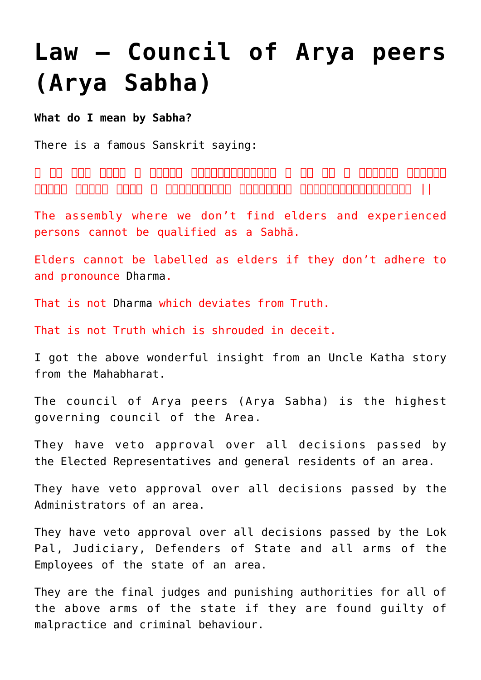# **[Law – Council of Arya peers](https://aryadharma.world/laws/details-of-the-law/law-administration/law-the-council-of-arya/) [\(Arya Sabha\)](https://aryadharma.world/laws/details-of-the-law/law-administration/law-the-council-of-arya/)**

**What do I mean by Sabha?**

There is a famous Sanskrit saying:

न सा समा समा यत्र न ते अस्तान विद्यालयन विद्या न ते यत्र तो न विद्या तत्र तो न वि ।। तत्रसत्यं यत्रतान तत्त्वान तः सतत्वानानुबन्धा तत्त्वानुबन्धा तत्त्वानुबन्धानुबन्धानुबन्धम् ।।

The assembly where we don't find elders and experienced persons cannot be qualified as a Sabhā.

Elders cannot be labelled as elders if they don't adhere to and pronounce [Dharma](https://aryadharma.world/vedasandupanishads/dharma/).

That is not [Dharma](https://aryadharma.world/vedasandupanishads/dharma/) which deviates from Truth.

That is not Truth which is shrouded in deceit.

I got the above wonderful insight from an [Uncle Katha story](https://unclekatha.com/?p=295) from the Mahabharat.

The council of [Arya](http://aryadharma.world/whoisanarya/) peers ([Arya](https://aryadharma.world/concepts/whoisanarya/) Sabha) is the highest governing council of the Area.

They have veto approval over all decisions passed by the [Elected Representatives](https://aryadharma.world/laws/details-of-the-law/law-elected-representatives/) and general residents of an area.

They have veto approval over all decisions passed by the [Administrators](http://aryadharma.world/laws/details-of-the-law/law-administrators/) of an area.

They have veto approval over all decisions passed by the Lok Pal, [Judiciary](https://aryadharma.world/laws/details-of-the-law/law-administration/laws_judiciary-2/), [Defenders of State](https://aryadharma.world/concepts/thestate/defendersofthestate/) and all arms of the [Employees of the state](https://aryadharma.world/concepts/thestate/employeesofthestate/) of an area.

They are the final judges and punishing authorities for all of the above arms of the state if they are found guilty of malpractice and criminal behaviour.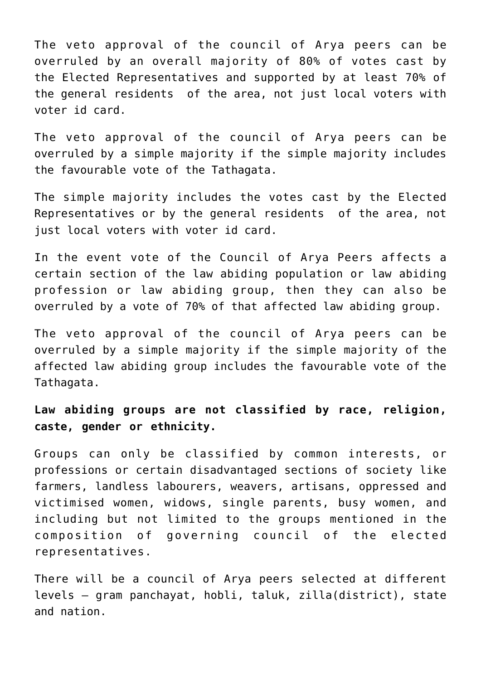The veto approval of the council of [Arya](http://aryadharma.world/whoisanarya/) peers can be overruled by an overall majority of 80% of votes cast by the [Elected Representatives](https://aryadharma.world/laws/details-of-the-law/law-elected-representatives/) and supported by at least 70% of the general residents of the area, not just local voters with voter id card.

The veto approval of the council of [Arya](http://aryadharma.world/whoisanarya/) peers can be overruled by a simple majority if the simple majority includes the favourable vote of the [Tathagata](https://aryadharma.world/concepts/tathagata/).

The simple majority includes the votes cast by the [Elected](https://aryadharma.world/laws/details-of-the-law/law-elected-representatives/) [Representatives](https://aryadharma.world/laws/details-of-the-law/law-elected-representatives/) or by the general residents of the area, not just local voters with voter id card.

In the event vote of the Council of [Arya](http://aryadharma.world/whoisanarya/) Peers affects a certain section of the law abiding population or law abiding profession or law abiding group, then they can also be overruled by a vote of 70% of that affected law abiding group.

The veto approval of the council of [Arya](http://aryadharma.world/whoisanarya/) peers can be overruled by a simple majority if the simple majority of the affected law abiding group includes the favourable vote of the [Tathagata.](https://aryadharma.world/concepts/tathagata/)

**Law abiding groups are not classified by race, religion, caste, gender or ethnicity.**

Groups can only be classified by common interests, or professions or certain disadvantaged sections of society like farmers, landless labourers, weavers, artisans, oppressed and victimised women, widows, single parents, busy women, and including but not limited to the groups mentioned in the composition of [governing council](https://aryadharma.world/laws/details-of-the-law/law-elected-representatives/) of the elected representatives.

There will be a council of [Arya](http://aryadharma.world/whoisanarya/) peers selected at different levels – [gram panchayat](https://en.wikipedia.org/wiki/Gram_panchayat), [hobli,](https://en.wikipedia.org/wiki/Hobli) [taluk,](https://en.wikipedia.org/wiki/Tehsil) [zilla\(district\)](https://en.wikipedia.org/wiki/Zillah_(country_subdivision)), state and nation.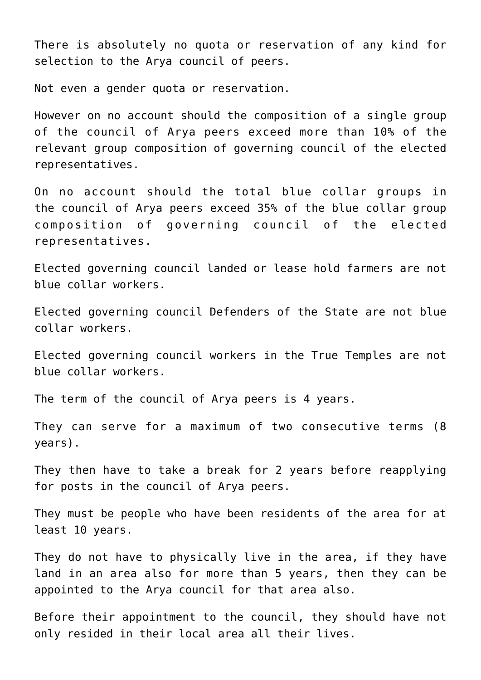There is absolutely no quota or reservation of any kind for selection to the [Arya](http://aryadharma.world/whoisanarya/) council of peers.

Not even a gender quota or reservation.

However on no account should the composition of a single group of the council of [Arya](http://aryadharma.world/whoisanarya/) peers exceed more than 10% of the relevant group composition of [governing council](https://aryadharma.world/laws/details-of-the-law/law-elected-representatives/) of the elected representatives.

On no account should the total [blue collar](https://en.wikipedia.org/wiki/Blue-collar_worker) groups in the council of [Arya](http://aryadharma.world/whoisanarya/) peers exceed 35% of the blue collar group composition of [governing council](https://aryadharma.world/laws/details-of-the-law/law-elected-representatives/) of the elected representatives.

Elected [governing council](https://aryadharma.world/laws/details-of-the-law/law-elected-representatives/) landed or lease hold farmers are not blue collar workers.

Elected [governing council](https://aryadharma.world/laws/details-of-the-law/law-elected-representatives/) [Defenders of the State](https://aryadharma.world/concepts/thestate/defendersofthestate/) are not blue collar workers.

Elected [governing council](https://aryadharma.world/laws/details-of-the-law/law-elected-representatives/) workers in the [True Temples](https://aryadharma.world/concepts/truetemples/) are not blue collar workers.

The term of the council of [Arya](https://aryadharma.world/concepts/truetemples/) peers is 4 years.

They can serve for a maximum of two consecutive terms (8 years).

They then have to take a break for 2 years before reapplying for posts in the council of [Arya](https://aryadharma.world/concepts/truetemples/) peers.

They must be people who have been residents of the area for at least 10 years.

They do not have to physically live in the area, if they have land in an area also for more than 5 years, then they can be appointed to the [Arya](https://aryadharma.world/concepts/truetemples/) council for that area also.

Before their appointment to the council, they should have not only resided in their local area all their lives.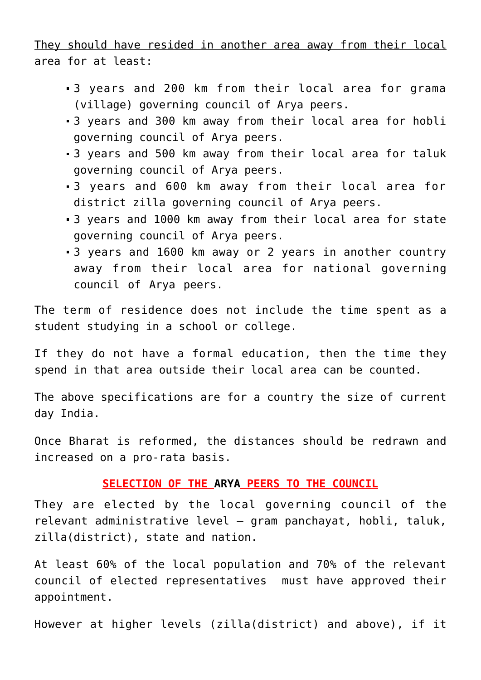They should have resided in another area away from their local area for at least:

- 3 years and 200 km from their local area for grama (village) governing council of Arya peers.
- 3 years and 300 km away from their local area for hobli governing council of Arya peers.
- 3 years and 500 km away from their local area for taluk governing council of Arya peers.
- 3 years and 600 km away from their local area for district zilla governing council of Arya peers.
- 3 years and 1000 km away from their local area for state governing council of Arya peers.
- 3 years and 1600 km away or 2 years in another country away from their local area for national governing council of Arya peers.

The term of residence does not include the time spent as a student studying in a school or college.

If they do not have a formal education, then the time they spend in that area outside their local area can be counted.

The above specifications are for a country the size of current day India.

Once [Bharat](https://aryadharma.world/bharat/) is reformed, the distances should be redrawn and increased on a pro-rata basis.

## **SELECTION OF THE [ARYA](https://aryadharma.world/concepts/truetemples/) PEERS TO THE COUNCIL**

They are elected by the local governing council of the relevant administrative level – [gram panchayat](https://en.wikipedia.org/wiki/Gram_panchayat), [hobli,](https://en.wikipedia.org/wiki/Hobli) [taluk,](https://en.wikipedia.org/wiki/Tehsil) [zilla\(district\)](https://en.wikipedia.org/wiki/Zillah_(country_subdivision)), state and nation.

At least 60% of the local population and 70% of the relevant [council of elected representatives](https://aryadharma.world/laws/details-of-the-law/law-administration/law-elected-representatives/) must have approved their appointment.

However at higher levels ([zilla\(district\)](https://en.wikipedia.org/wiki/Zillah_(country_subdivision)) and above), if it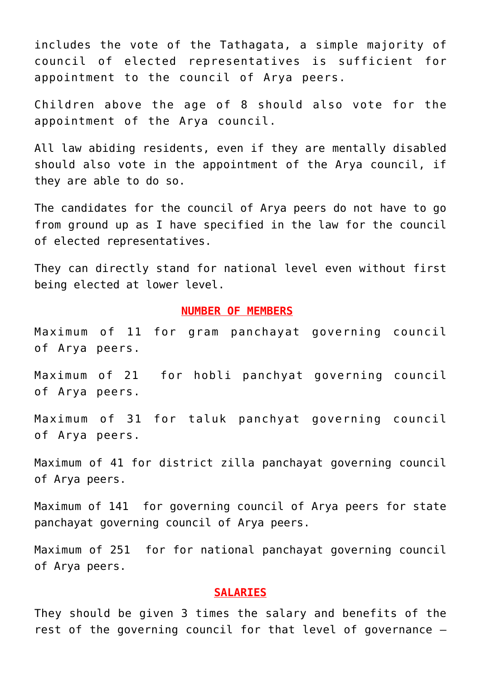includes the vote of the [Tathagata,](https://aryadharma.world/concepts/tathagata/) a simple majority of [council of elected representatives](https://aryadharma.world/laws/details-of-the-law/law-administration/law-elected-representatives/) is sufficient for appointment to the council of Arya peers.

Children above the age of 8 should also vote for the appointment of the Arya council.

All law abiding residents, even if they are mentally disabled should also vote in the appointment of the Arya council, if they are able to do so.

The candidates for the council of Arya peers do not have to go from ground up as I have specified in the law for the [council](https://aryadharma.world/laws/details-of-the-law/law-administration/law-elected-representatives/) [of elected representatives.](https://aryadharma.world/laws/details-of-the-law/law-administration/law-elected-representatives/)

They can directly stand for national level even without first being elected at lower level.

#### **NUMBER OF MEMBERS**

Maximum of 11 for gram panchayat governing council of Arya peers.

Maximum of 21 for hobli panchyat governing council of Arya peers.

Maximum of 31 for taluk panchyat governing council of Arya peers.

Maximum of 41 for district zilla panchayat governing council of Arya peers.

Maximum of 141 for governing council of Arya peers for state panchayat governing council of Arya peers.

Maximum of 251 for for national panchayat governing council of Arya peers.

#### **SALARIES**

They should be given 3 times the salary and benefits of the rest of the governing council for that level of governance –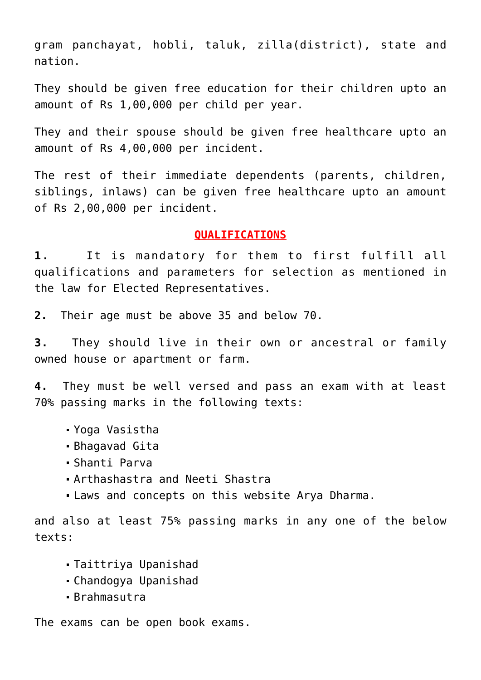[gram panchayat,](https://en.wikipedia.org/wiki/Gram_panchayat) [hobli](https://en.wikipedia.org/wiki/Hobli), [taluk,](https://en.wikipedia.org/wiki/Tehsil) [zilla\(district\),](https://en.wikipedia.org/wiki/Zillah_(country_subdivision)) state and nation.

They should be given free education for their children upto an amount of Rs 1,00,000 per child per year.

They and their spouse should be given free healthcare upto an amount of Rs 4,00,000 per incident.

The rest of their immediate dependents (parents, children, siblings, inlaws) can be given free healthcare upto an amount of Rs 2,00,000 per incident.

### **QUALIFICATIONS**

**1.** It is mandatory for them to first fulfill all qualifications and parameters for selection as mentioned in the law for [Elected Representatives.](https://aryadharma.world/laws/details-of-the-law/law-elected-representatives/)

**2.** Their age must be above 35 and below 70.

**3.** They should live in their own or ancestral or family owned house or apartment or farm.

**4.** They must be well versed and pass an exam with at least 70% passing marks in the following texts:

- [Yoga Vasistha](http://aryadharma.world/concepts/brahman/yoga-vasistha/)
- [Bhagavad Gita](http://aryadharma.world/concepts/brahman/vedasandupanishads/)
- [Shanti Parva](http://aryadharma.world/bharat/shantiparva/)
- [Arthashastra and Neeti Shastra](http://aryadharma.world/bharat/kautilya/)
- Laws and concepts on this website [Arya Dharma.](http://www.aryadharma.world)

and also at least 75% passing marks in any one of the below texts:

- [Taittriya Upanishad](https://en.wikipedia.org/wiki/Taittiriya_Upanishad)
- [Chandogya Upanishad](https://en.wikipedia.org/wiki/Chandogya_Upanishad)
- [Brahmasutra](https://en.wikipedia.org/wiki/Brahma_Sutras)

The exams can be open book exams.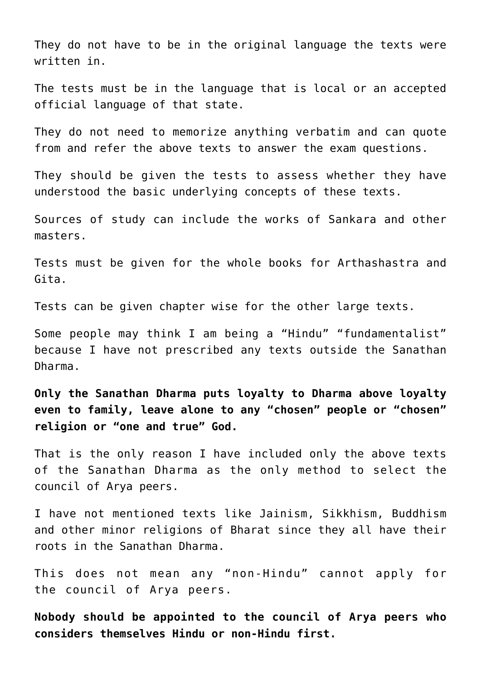They do not have to be in the original language the texts were written in.

The tests must be in the language that is local or an accepted official language of that state.

They do not need to memorize anything verbatim and can quote from and refer the above texts to answer the exam questions.

They should be given the tests to assess whether they have understood the basic underlying concepts of these texts.

Sources of study can include the works of [Sankara](http://aryadharma.world/bharat/shankara/) and other masters.

Tests must be given for the whole books for Arthashastra and Gita.

Tests can be given chapter wise for the other large texts.

Some people may think I am being a "[Hindu](https://aryadharma.world/bharat/hindu/)" "fundamentalist" because I have not prescribed any texts outside the [Sanathan](https://aryadharma.world/concepts/brahman/vedasandupanishads/) [Dharma](https://aryadharma.world/concepts/brahman/vedasandupanishads/).

**Only the [Sanathan Dharma](https://aryadharma.world/concepts/brahman/vedasandupanishads/) puts loyalty to [Dharma](http://aryadharma.world/concepts/brahman/dharma/) above loyalty even to family, leave alone to any "chosen" people or "chosen" religion or "one and true" God.**

That is the only reason I have included only the above texts of the [Sanathan Dharma](https://aryadharma.world/concepts/brahman/vedasandupanishads/) as the only method to select the council of [Arya](https://aryadharma.world/concepts/whoisanarya/) peers.

I have not mentioned texts like Jainism, Sikkhism, Buddhism and other minor religions of Bharat since they all have their roots in the Sanathan Dharma.

This does not mean any "non-Hindu" cannot apply for the council of [Arya](https://aryadharma.world/concepts/whoisanarya/) peers.

**Nobody should be appointed to the council of [Arya](https://aryadharma.world/concepts/whoisanarya/) peers who considers themselves Hindu or non-Hindu first.**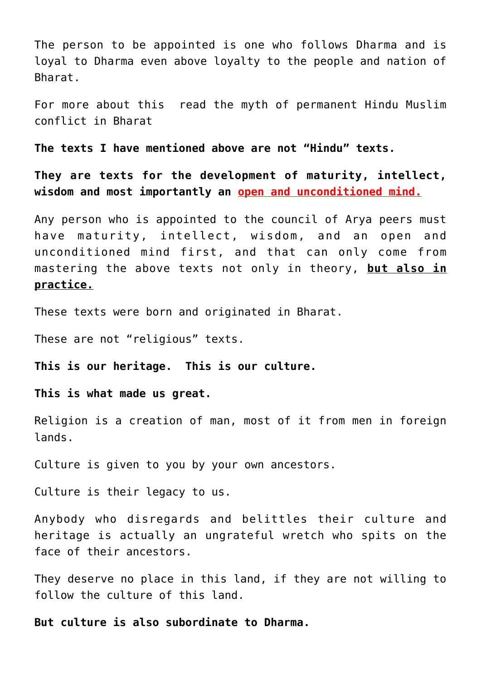The person to be appointed is one who follows [Dharma](http://aryadharma.world/concepts/brahman/dharma/) and is loyal to [Dharma](http://aryadharma.world/concepts/brahman/dharma/) even above loyalty to the people and nation of [Bharat](http://aryadharma.world/bharat/).

For more about this read the [myth of permanent Hindu Muslim](https://aryadharma.world/bharat/hindu-muslim-myth-conflict/) conflict in Bharat

**The texts I have mentioned above are not "Hindu" texts.** 

**They are texts for the development of maturity, intellect, wisdom and most importantly an open and unconditioned mind.**

Any person who is appointed to the council of Arya peers must have maturity, intellect, wisdom, and an open and unconditioned mind first, and that can only come from mastering the above texts not only in theory, **but also in practice.**

These texts were born and originated in [Bharat](http://aryadharma.world/bharat/).

These are not "religious" texts.

**This is our heritage. This is our culture.** 

**This is what made us great.**

Religion is a creation of man, most of it from men in foreign lands.

Culture is given to you by your own ancestors.

Culture is their legacy to us.

Anybody who disregards and belittles their culture and heritage is actually an ungrateful wretch who spits on the face of their ancestors.

They deserve no place in this land, if they are not willing to follow the culture of this land.

**But culture is also subordinate to [Dharma.](http://aryadharma.world/dharma/)**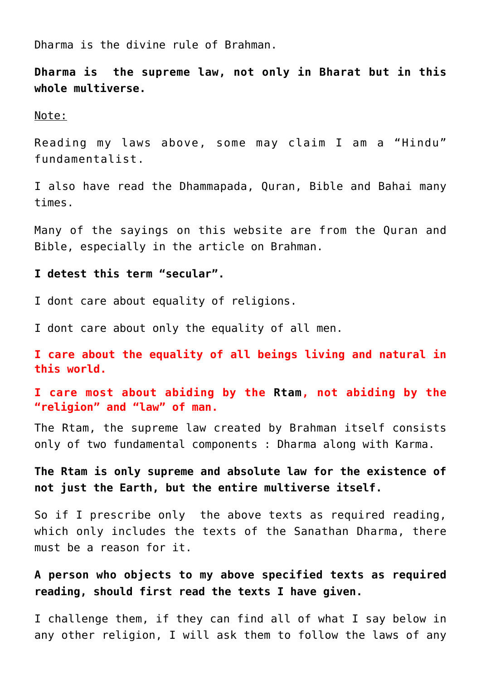[Dharma](http://aryadharma.world/dharma/) is the divine rule of [Brahman](http://aryadharma.world/concepts/brahman/).

**[Dharma](http://aryadharma.world/dharma/) is the supreme law, not only in [Bharat](http://aryadharma.world/bharat/) but in this whole [multiverse.](https://en.wikipedia.org/wiki/Multiverse)**

Note:

Reading my laws above, some may claim I am a "[Hindu"](https://aryadharma.world/bharat/hindu/) fundamentalist.

I also have read the [Dhammapada](https://aryadharma.world/concepts/brahman/the-sakyamuni/), [Quran,](https://en.wikipedia.org/wiki/Quran) [Bible](https://en.wikipedia.org/wiki/Bible) and [Bahai](https://en.wikipedia.org/wiki/Bahá%27í_Faith) many times.

Many of the sayings on this website are from the Quran and Bible, especially in the article on [Brahman.](http://aryadharma.world/concepts/brahman/)

**I detest this term "secular".**

I dont care about equality of religions.

I dont care about only the equality of all men.

**I care about the equality of all beings living and natural in this world.**

**I care most about abiding by the [Rtam,](https://en.wikipedia.org/wiki/Ṛta) not abiding by the "religion" and "law" of man.**

The [Rtam](https://en.wikipedia.org/wiki/Ṛta), the supreme law created by [Brahman](http://aryadharma.world/concepts/brahman/) itself consists only of two fundamental components : [Dharma](http://aryadharma.world/concepts/brahman/dharma/) along with [Karma.](https://en.wikipedia.org/wiki/Karma)

**The [Rtam](https://en.wikipedia.org/wiki/Ṛta) is only supreme and absolute law for the existence of not just the Earth, but the entire [multiverse](https://en.wikipedia.org/wiki/Multiverse) itself.**

So if I prescribe only the above texts as required reading, which only includes the texts of the [Sanathan Dharma,](http://aryadharma.world/concepts/brahman/vedasandupanishads/) there must be a reason for it.

**A person who objects to my above specified texts as required reading, should first read the texts I have given.**

I challenge them, if they can find all of what I say below in any other religion, I will ask them to follow the laws of any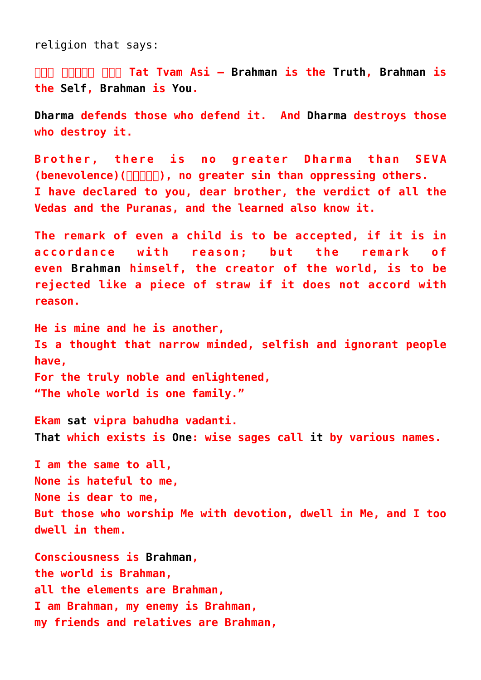religion that says:

**[तत् त्वम् अिस](http://en.wikipedia.org/wiki/Tat_Tvam_Asi) Tat Tvam Asi – [Brahman](https://aryadharma.world/brahman/) is the [Truth,](http://en.wikipedia.org/wiki/Sat_(Sanskrit)) [Brahman](https://aryadharma.world/brahman/) is the [Self,](http://en.wikipedia.org/wiki/%C4%80tman_(Hinduism)) [Brahman](https://aryadharma.world/brahman/) is [You.](https://en.wikipedia.org/wiki/%C4%80tman_(Hinduism))**

**[Dharma](http://aryadharma.world/dharma/) defends those who defend it. And [Dharma](http://aryadharma.world/dharma/) destroys those who destroy it.**

**Brother, there is no greater Dharma than SEVA** (benevolence)( $\Box$  $\Box$  $\Box$ ), no greater sin than oppressing others. **I have declared to you, dear brother, the verdict of all the Vedas and the Puranas, and the learned also know it.**

**The remark of even a child is to be accepted, if it is in accordance with reason; but the remark of even [Brahman](http://aryadharma.world/brahman/) himself, the creator of the world, is to be rejected like a piece of straw if it does not accord with reason.**

**He is mine and he is another, Is a thought that narrow minded, selfish and ignorant people have, For the truly noble and enlightened, "The whole world is one family."**

**Ekam [sat](http://aryadharma.world/concepts/brahman/) vipra bahudha vadanti. [That](http://aryadharma.world/concepts/brahman/) which exists is [One:](http://aryadharma.world/concepts/brahman/) wise sages call [it](http://aryadharma.world/concepts/brahman/) by various names.**

**I am the same to all, None is hateful to me, None is dear to me, But those who worship Me with devotion, dwell in Me, and I too dwell in them.**

**Consciousness is [Brahman,](https://aryadharma.world/vedasandupanishads/brahman/) the world is Brahman, all the elements are Brahman, I am Brahman, my enemy is Brahman, my friends and relatives are Brahman,**